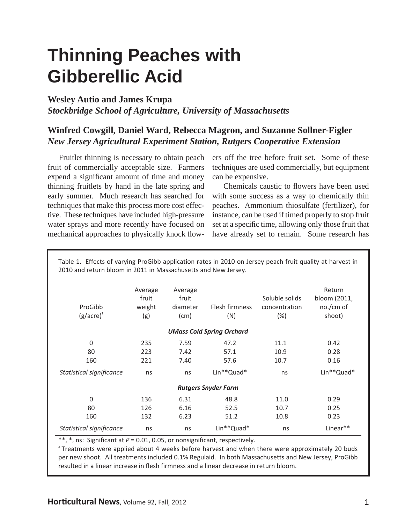# **Thinning Peaches with Gibberellic Acid**

### **Wesley Autio and James Krupa**

*Stockbridge School of Agriculture, University of Massachusetts*

## **Winfred Cowgill, Daniel Ward, Rebecca Magron, and Suzanne Sollner-Figler** *New Jersey Agricultural Experiment Station, Rutgers Cooperative Extension*

 Fruitlet thinning is necessary to obtain peach fruit of commercially acceptable size. Farmers expend a significant amount of time and money thinning fruitlets by hand in the late spring and early summer. Much research has searched for techniques that make this process more cost effective. These techniques have included high-pressure water sprays and more recently have focused on mechanical approaches to physically knock flowers off the tree before fruit set. Some of these techniques are used commercially, but equipment can be expensive.

Chemicals caustic to flowers have been used with some success as a way to chemically thin peaches. Ammonium thiosulfate (fertilizer), for instance, can be used if timed properly to stop fruit set at a specific time, allowing only those fruit that have already set to remain. Some research has

| ProGibb<br>$(g/acre)^{z}$        | Average<br>fruit<br>weight<br>(g) | Average<br>fruit<br>diameter<br>(cm) | Flesh firmness<br>(N) | Soluble solids<br>concentration<br>(%) | Return<br>bloom (2011,<br>no./cm of<br>shoot) |  |  |
|----------------------------------|-----------------------------------|--------------------------------------|-----------------------|----------------------------------------|-----------------------------------------------|--|--|
| <b>UMass Cold Spring Orchard</b> |                                   |                                      |                       |                                        |                                               |  |  |
| $\mathbf 0$                      | 235                               | 7.59                                 | 47.2                  | 11.1                                   | 0.42                                          |  |  |
| 80                               | 223                               | 7.42                                 | 57.1                  | 10.9                                   | 0.28                                          |  |  |
| 160                              | 221                               | 7.40                                 | 57.6                  | 10.7                                   | 0.16                                          |  |  |
| Statistical significance         | ns                                | ns                                   | Lin**Quad*            | ns                                     | Lin**Quad*                                    |  |  |
| <b>Rutgers Snyder Farm</b>       |                                   |                                      |                       |                                        |                                               |  |  |
| $\Omega$                         | 136                               | 6.31                                 | 48.8                  | 11.0                                   | 0.29                                          |  |  |
| 80                               | 126                               | 6.16                                 | 52.5                  | 10.7                                   | 0.25                                          |  |  |
| 160                              | 132                               | 6.23                                 | 51.2                  | 10.8                                   | 0.23                                          |  |  |
| Statistical significance         | ns                                | ns                                   | Lin**Quad*            | ns                                     | Linear**                                      |  |  |

Table 1. Effects of varying ProGibb application rates in 2010 on Jersey peach fruit quality at harvest in 2010 and return bloom in 2011 in Massachusetts and New Jersey.

\*\*, \*, ns: Significant at  $P = 0.01$ , 0.05, or nonsignificant, respectively.

 $2^{\circ}$  Treatments were applied about 4 weeks before harvest and when there were approximately 20 buds per new shoot. All treatments included 0.1% Regulaid. In both Massachusetts and New Jersey, ProGibb resulted in a linear increase in flesh firmness and a linear decrease in return bloom.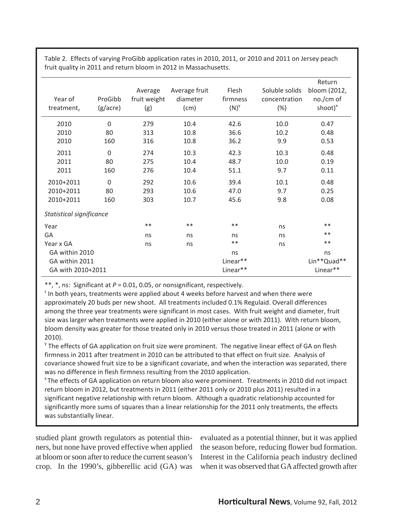| Year of<br>treatment $_{z}$ | ProGibb<br>(g/acre) | Average<br>fruit weight<br>(g) | Average fruit<br>diameter<br>(cm) | Flesh<br>firmness<br>$(N)^\vee$ | Soluble solids<br>concentration<br>(%) | Return<br>bloom (2012,<br>no./cm of<br>shoot $)^{x}$ |
|-----------------------------|---------------------|--------------------------------|-----------------------------------|---------------------------------|----------------------------------------|------------------------------------------------------|
| 2010                        | $\mathbf 0$         | 279                            | 10.4                              | 42.6                            | 10.0                                   | 0.47                                                 |
| 2010                        | 80                  | 313                            | 10.8                              | 36.6                            | 10.2                                   | 0.48                                                 |
| 2010                        | 160                 | 316                            | 10.8                              | 36.2                            | 9.9                                    | 0.53                                                 |
| 2011                        | $\mathbf 0$         | 274                            | 10.3                              | 42.3                            | 10.3                                   | 0.48                                                 |
| 2011                        | 80                  | 275                            | 10.4                              | 48.7                            | 10.0                                   | 0.19                                                 |
| 2011                        | 160                 | 276                            | 10.4                              | 51.1                            | 9.7                                    | 0.11                                                 |
| 2010+2011                   | $\mathbf 0$         | 292                            | 10.6                              | 39.4                            | 10.1                                   | 0.48                                                 |
| 2010+2011                   | 80                  | 293                            | 10.6                              | 47.0                            | 9.7                                    | 0.25                                                 |
| 2010+2011                   | 160                 | 303                            | 10.7                              | 45.6                            | 9.8                                    | 0.08                                                 |
| Statistical significance    |                     |                                |                                   |                                 |                                        |                                                      |
| Year                        |                     | $***$                          | $***$                             | $***$                           | ns                                     | $***$                                                |
| GA                          |                     | ns                             | ns                                | ns                              | ns                                     | $***$                                                |
| Year x GA                   |                     | ns                             | ns                                | $***$                           | ns                                     | $**$                                                 |
| GA within 2010              |                     |                                |                                   | ns                              |                                        | ns                                                   |
| GA within 2011              |                     |                                | Linear**                          |                                 |                                        | Lin**Quad**                                          |
| GA with 2010+2011           |                     |                                |                                   | Linear**                        |                                        | Linear**                                             |

Table 2. Effects of varying ProGibb application rates in 2010, 2011, or 2010 and 2011 on Jersey peach fruit quality in 2011 and return bloom in 2012 in Massachusetts.

\*\*, \*, ns: Significant at  $P = 0.01$ , 0.05, or nonsignificant, respectively.

 $<sup>2</sup>$  In both years, treatments were applied about 4 weeks before harvest and when there were</sup> approximately 20 buds per new shoot. All treatments included 0.1% Regulaid. Overall differences among the three year treatments were significant in most cases. With fruit weight and diameter, fruit size was larger when treatments were applied in 2010 (either alone or with 2011). With return bloom, bloom density was greater for those treated only in 2010 versus those treated in 2011 (alone or with 2010).

 $\gamma$  The effects of GA application on fruit size were prominent. The negative linear effect of GA on flesh firmness in 2011 after treatment in 2010 can be attributed to that effect on fruit size. Analysis of covariance showed fruit size to be a significant covariate, and when the interaction was separated, there was no difference in flesh firmness resulting from the 2010 application.

<sup>x</sup> The effects of GA application on return bloom also were prominent. Treatments in 2010 did not impact return bloom in 2012, but treatments in 2011 (either 2011 only or 2010 plus 2011) resulted in a significant negative relationship with return bloom. Although a quadratic relationship accounted for significantly more sums of squares than a linear relationship for the 2011 only treatments, the effects was substantially linear.

studied plant growth regulators as potential thinners, but none have proved effective when applied at bloom or soon after to reduce the current season's crop. In the 1990's, gibberellic acid (GA) was

evaluated as a potential thinner, but it was applied the season before, reducing flower bud formation. Interest in the California peach industry declined when it was observed that GA affected growth after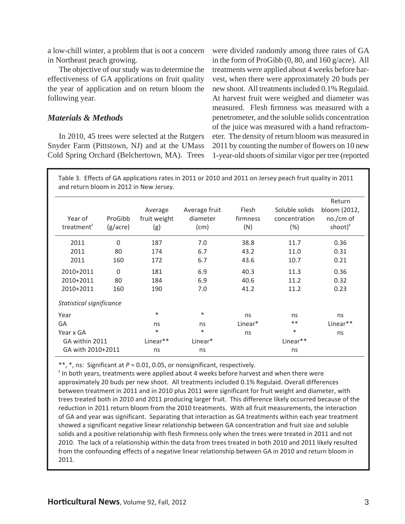a low-chill winter, a problem that is not a concern in Northeast peach growing.

 The objective of our study was to determine the effectiveness of GA applications on fruit quality the year of application and on return bloom the following year.

#### *Materials & Methods*

 In 2010, 45 trees were selected at the Rutgers Snyder Farm (Pittstown, NJ) and at the UMass Cold Spring Orchard (Belchertown, MA). Trees were divided randomly among three rates of GA in the form of ProGibb (0, 80, and 160 g/acre). All treatments were applied about 4 weeks before harvest, when there were approximately 20 buds per new shoot. All treatments included 0.1% Regulaid. At harvest fruit were weighed and diameter was measured. Flesh firmness was measured with a penetrometer, and the soluble solids concentration of the juice was measured with a hand refractometer. The density of return bloom was measured in 2011 by counting the number of flowers on 10 new 1-year-old shoots of similar vigor per tree (reported

Table 3.Effects of GA applications rates in 2011 or 2010 and 2011 on Jersey peach fruit quality in 2011 and return bloom in 2012 in New Jersey.

| Year of<br>treatment <sup><math>z</math></sup> | ProGibb<br>(g/acre) | Average<br>fruit weight<br>(g) | Average fruit<br>diameter<br>(cm) | Flesh<br>firmness<br>(N) | Soluble solids<br>concentration<br>(%) | Return<br>bloom (2012,<br>$no./cm$ of<br>shoot $)^x$ |
|------------------------------------------------|---------------------|--------------------------------|-----------------------------------|--------------------------|----------------------------------------|------------------------------------------------------|
| 2011                                           | $\Omega$            | 187                            | 7.0                               | 38.8                     | 11.7                                   | 0.36                                                 |
| 2011                                           | 80                  | 174                            | 6.7                               | 43.2                     | 11.0                                   | 0.31                                                 |
| 2011                                           | 160                 | 172                            | 6.7                               | 43.6                     | 10.7                                   | 0.21                                                 |
| 2010+2011                                      | $\overline{0}$      | 181                            | 6.9                               | 40.3                     | 11.3                                   | 0.36                                                 |
| 2010+2011                                      | 80                  | 184                            | 6.9                               | 40.6                     | 11.2                                   | 0.32                                                 |
| 2010+2011                                      | 160                 | 190                            | 7.0                               | 41.2                     | 11.2                                   | 0.23                                                 |
| Statistical significance                       |                     |                                |                                   |                          |                                        |                                                      |
| Year                                           |                     | $\ast$                         | $\ast$                            | ns                       | ns                                     | ns                                                   |
| GA                                             |                     | ns                             | ns                                | Linear*                  | $***$                                  | Linear**                                             |
| Year x GA                                      |                     | $\ast$                         | $\ast$                            | ns                       | $\ast$                                 | ns                                                   |
| GA within 2011                                 |                     | Linear**                       | Linear*<br>Linear**               |                          |                                        |                                                      |
| GA with 2010+2011                              |                     | ns                             | ns                                | ns                       |                                        |                                                      |

\*\*, \*, ns: Significant at  $P = 0.01$ , 0.05, or nonsignificant, respectively.

 $2$  In both years, treatments were applied about 4 weeks before harvest and when there were approximately 20 buds per new shoot. All treatments included 0.1% Regulaid. Overall differences between treatment in 2011 and in 2010 plus 2011 were significant for fruit weight and diameter, with trees treated both in 2010 and 2011 producing larger fruit. This difference likely occurred because of the reduction in 2011 return bloom from the 2010 treatments. With all fruit measurements, the interaction of GA and year was significant. Separating that interaction as GA treatments within each year treatment showed a significant negative linear relationship between GA concentration and fruit size and soluble solids and a positive relationship with flesh firmness only when the trees were treated in 2011 and not 2010.The lack of a relationship within the data from trees treated in both 2010 and 2011 likely resulted from the confounding effects of a negative linear relationship between GA in 2010 and return bloom in 2011.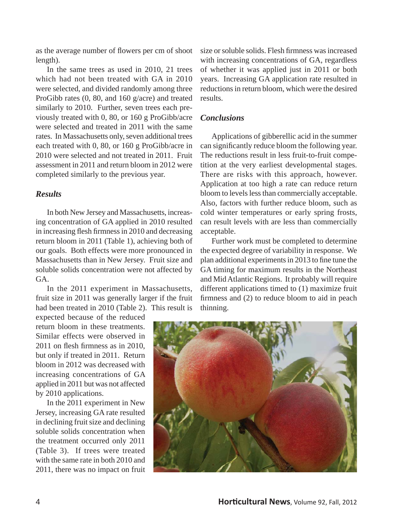as the average number of flowers per cm of shoot length).

 In the same trees as used in 2010, 21 trees which had not been treated with GA in 2010 were selected, and divided randomly among three ProGibb rates (0, 80, and 160 g/acre) and treated similarly to 2010. Further, seven trees each previously treated with 0, 80, or 160 g ProGibb/acre were selected and treated in 2011 with the same rates. In Massachusetts only, seven additional trees each treated with 0, 80, or 160 g ProGibb/acre in 2010 were selected and not treated in 2011. Fruit assessment in 2011 and return bloom in 2012 were completed similarly to the previous year.

#### *Results*

 In both New Jersey and Massachusetts, increasing concentration of GA applied in 2010 resulted in increasing flesh firmness in 2010 and decreasing return bloom in 2011 (Table 1), achieving both of our goals. Both effects were more pronounced in Massachusetts than in New Jersey. Fruit size and soluble solids concentration were not affected by GA.

 In the 2011 experiment in Massachusetts, fruit size in 2011 was generally larger if the fruit had been treated in 2010 (Table 2). This result is

expected because of the reduced return bloom in these treatments. Similar effects were observed in  $2011$  on flesh firmness as in 2010, but only if treated in 2011. Return bloom in 2012 was decreased with increasing concentrations of GA applied in 2011 but was not affected by 2010 applications.

 In the 2011 experiment in New Jersey, increasing GA rate resulted in declining fruit size and declining soluble solids concentration when the treatment occurred only 2011 (Table 3). If trees were treated with the same rate in both 2010 and 2011, there was no impact on fruit

size or soluble solids. Flesh firmness was increased with increasing concentrations of GA, regardless of whether it was applied just in 2011 or both years. Increasing GA application rate resulted in reductions in return bloom, which were the desired results.

#### *Conclusions*

 Applications of gibberellic acid in the summer can significantly reduce bloom the following year. The reductions result in less fruit-to-fruit competition at the very earliest developmental stages. There are risks with this approach, however. Application at too high a rate can reduce return bloom to levels less than commercially acceptable. Also, factors with further reduce bloom, such as cold winter temperatures or early spring frosts, can result levels with are less than commercially acceptable.

 Further work must be completed to determine the expected degree of variability in response. We plan additional experiments in 2013 to fine tune the GA timing for maximum results in the Northeast and Mid Atlantic Regions. It probably will require different applications timed to (1) maximize fruit firmness and  $(2)$  to reduce bloom to aid in peach thinning.

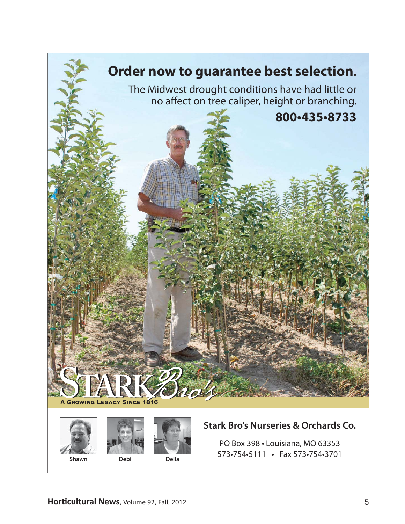